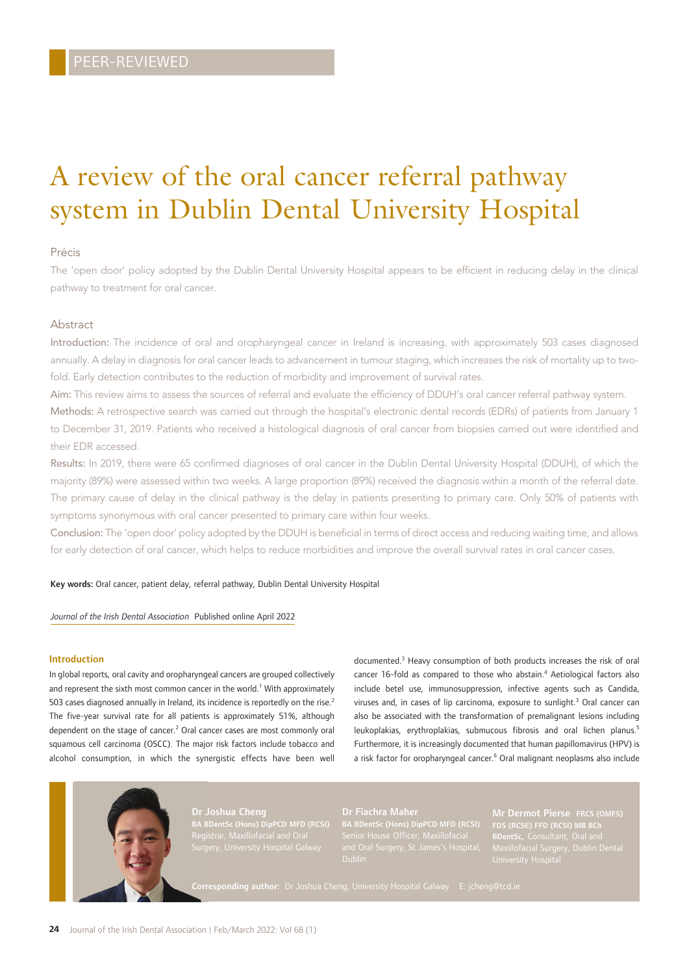# A review of the oral cancer referral pathway system in Dublin Dental University Hospital

#### Précis

The 'open door' policy adopted by the Dublin Dental University Hospital appears to be efficient in reducing delay in the clinical pathway to treatment for oral cancer.

### **Abstract**

Introduction: The incidence of oral and oropharyngeal cancer in Ireland is increasing, with approximately 503 cases diagnosed annually. A delay in diagnosis for oral cancer leads to advancement in tumour staging, which increases the risk of mortality up to twofold. Early detection contributes to the reduction of morbidity and improvement of survival rates.

Aim: This review aims to assess the sources of referral and evaluate the efficiency of DDUH's oral cancer referral pathway system.

Methods: A retrospective search was carried out through the hospital's electronic dental records (EDRs) of patients from January 1 to December 31, 2019. Patients who received a histological diagnosis of oral cancer from biopsies carried out were identified and their EDR accessed.

Results: In 2019, there were 65 confirmed diagnoses of oral cancer in the Dublin Dental University Hospital (DDUH), of which the majority (89%) were assessed within two weeks. A large proportion (89%) received the diagnosis within a month of the referral date. The primary cause of delay in the clinical pathway is the delay in patients presenting to primary care. Only 50% of patients with symptoms synonymous with oral cancer presented to primary care within four weeks.

Conclusion: The 'open door' policy adopted by the DDUH is beneficial in terms of direct access and reducing waiting time, and allows for early detection of oral cancer, which helps to reduce morbidities and improve the overall survival rates in oral cancer cases.

#### Key words: Oral cancer, patient delay, referral pathway, Dublin Dental University Hospital

#### *Journal of the Irish Dental Association* Published online April 2022

#### Introduction

In global reports, oral cavity and oropharyngeal cancers are grouped collectively and represent the sixth most common cancer in the world.<sup>1</sup> With approximately 503 cases diagnosed annually in Ireland, its incidence is reportedly on the rise.<sup>2</sup> The five-year survival rate for all patients is approximately 51%, although dependent on the stage of cancer.<sup>2</sup> Oral cancer cases are most commonly oral squamous cell carcinoma (OSCC). The major risk factors include tobacco and alcohol consumption, in which the synergistic effects have been well

documented.3 Heavy consumption of both products increases the risk of oral cancer 16-fold as compared to those who abstain.<sup>4</sup> Aetiological factors also include betel use, immunosuppression, infective agents such as Candida, viruses and, in cases of lip carcinoma, exposure to sunlight.<sup>3</sup> Oral cancer can also be associated with the transformation of premalignant lesions including leukoplakias, erythroplakias, submucous fibrosis and oral lichen planus.<sup>5</sup> Furthermore, it is increasingly documented that human papillomavirus (HPV) is a risk factor for oropharyngeal cancer.<sup>6</sup> Oral malignant neoplasms also include



BA BDentSc (Hons) DipPCD MFD (RCSI)

BA BDentSc (Hons) DipPCD MFD (RCSI)

FDS (RCSE) FFD (RCSI) MB BCh BDentSc, Consultant, Oral and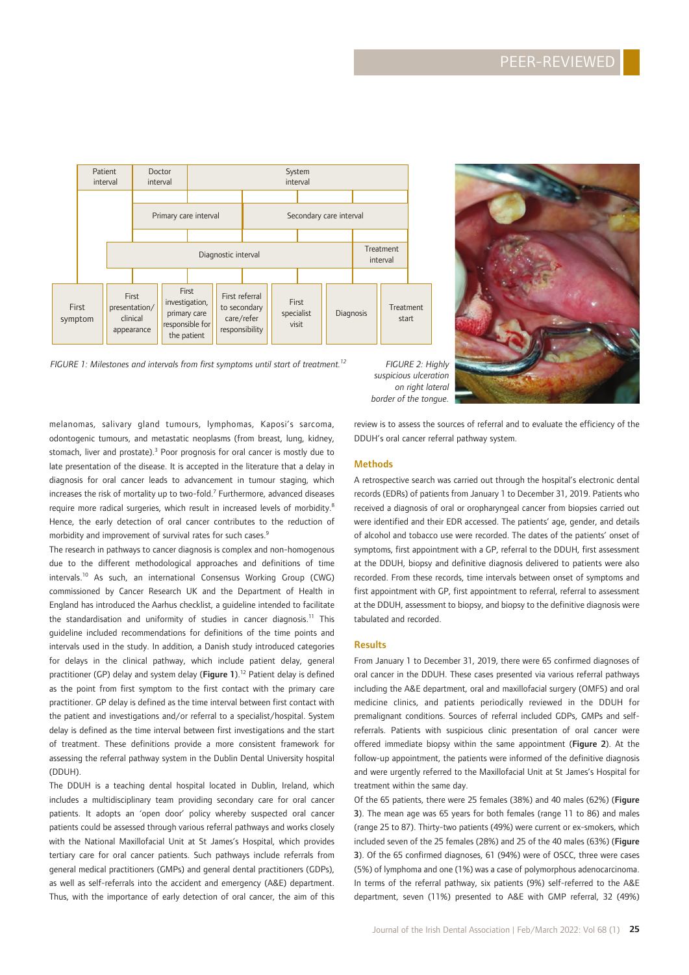

*FIGURE 1: Milestones and intervals from first symptoms until start of treatment.12 FIGURE 2: Highly*

*suspicious ulceration on right lateral border of the tongue.*

melanomas, salivary gland tumours, lymphomas, Kaposi's sarcoma, odontogenic tumours, and metastatic neoplasms (from breast, lung, kidney, stomach, liver and prostate).<sup>3</sup> Poor prognosis for oral cancer is mostly due to late presentation of the disease. It is accepted in the literature that a delay in diagnosis for oral cancer leads to advancement in tumour staging, which increases the risk of mortality up to two-fold.<sup>7</sup> Furthermore, advanced diseases require more radical surgeries, which result in increased levels of morbidity.<sup>8</sup> Hence, the early detection of oral cancer contributes to the reduction of morbidity and improvement of survival rates for such cases.<sup>9</sup>

The research in pathways to cancer diagnosis is complex and non-homogenous due to the different methodological approaches and definitions of time intervals.10 As such, an international Consensus Working Group (CWG) commissioned by Cancer Research UK and the Department of Health in England has introduced the Aarhus checklist, a guideline intended to facilitate the standardisation and uniformity of studies in cancer diagnosis.<sup>11</sup> This guideline included recommendations for definitions of the time points and intervals used in the study. In addition, a Danish study introduced categories for delays in the clinical pathway, which include patient delay, general practitioner (GP) delay and system delay (Figure 1).<sup>12</sup> Patient delay is defined as the point from first symptom to the first contact with the primary care practitioner. GP delay is defined as the time interval between first contact with the patient and investigations and/or referral to a specialist/hospital. System delay is defined as the time interval between first investigations and the start of treatment. These definitions provide a more consistent framework for assessing the referral pathway system in the Dublin Dental University hospital (DDUH).

The DDUH is a teaching dental hospital located in Dublin, Ireland, which includes a multidisciplinary team providing secondary care for oral cancer patients. It adopts an 'open door' policy whereby suspected oral cancer patients could be assessed through various referral pathways and works closely with the National Maxillofacial Unit at St James's Hospital, which provides tertiary care for oral cancer patients. Such pathways include referrals from general medical practitioners (GMPs) and general dental practitioners (GDPs), as well as self-referrals into the accident and emergency (A&E) department. Thus, with the importance of early detection of oral cancer, the aim of this

review is to assess the sources of referral and to evaluate the efficiency of the DDUH's oral cancer referral pathway system.

#### **Methods**

A retrospective search was carried out through the hospital's electronic dental records (EDRs) of patients from January 1 to December 31, 2019. Patients who received a diagnosis of oral or oropharyngeal cancer from biopsies carried out were identified and their EDR accessed. The patients' age, gender, and details of alcohol and tobacco use were recorded. The dates of the patients' onset of symptoms, first appointment with a GP, referral to the DDUH, first assessment at the DDUH, biopsy and definitive diagnosis delivered to patients were also recorded. From these records, time intervals between onset of symptoms and first appointment with GP, first appointment to referral, referral to assessment at the DDUH, assessment to biopsy, and biopsy to the definitive diagnosis were tabulated and recorded.

#### **Results**

From January 1 to December 31, 2019, there were 65 confirmed diagnoses of oral cancer in the DDUH. These cases presented via various referral pathways including the A&E department, oral and maxillofacial surgery (OMFS) and oral medicine clinics, and patients periodically reviewed in the DDUH for premalignant conditions. Sources of referral included GDPs, GMPs and selfreferrals. Patients with suspicious clinic presentation of oral cancer were offered immediate biopsy within the same appointment (Figure 2). At the follow-up appointment, the patients were informed of the definitive diagnosis and were urgently referred to the Maxillofacial Unit at St James's Hospital for treatment within the same day.

Of the 65 patients, there were 25 females (38%) and 40 males (62%) (Figure 3). The mean age was 65 years for both females (range 11 to 86) and males (range 25 to 87). Thirty-two patients (49%) were current or ex-smokers, which included seven of the 25 females (28%) and 25 of the 40 males (63%) (Figure 3). Of the 65 confirmed diagnoses, 61 (94%) were of OSCC, three were cases (5%) of lymphoma and one (1%) was a case of polymorphous adenocarcinoma. In terms of the referral pathway, six patients (9%) self-referred to the A&E department, seven (11%) presented to A&E with GMP referral, 32 (49%)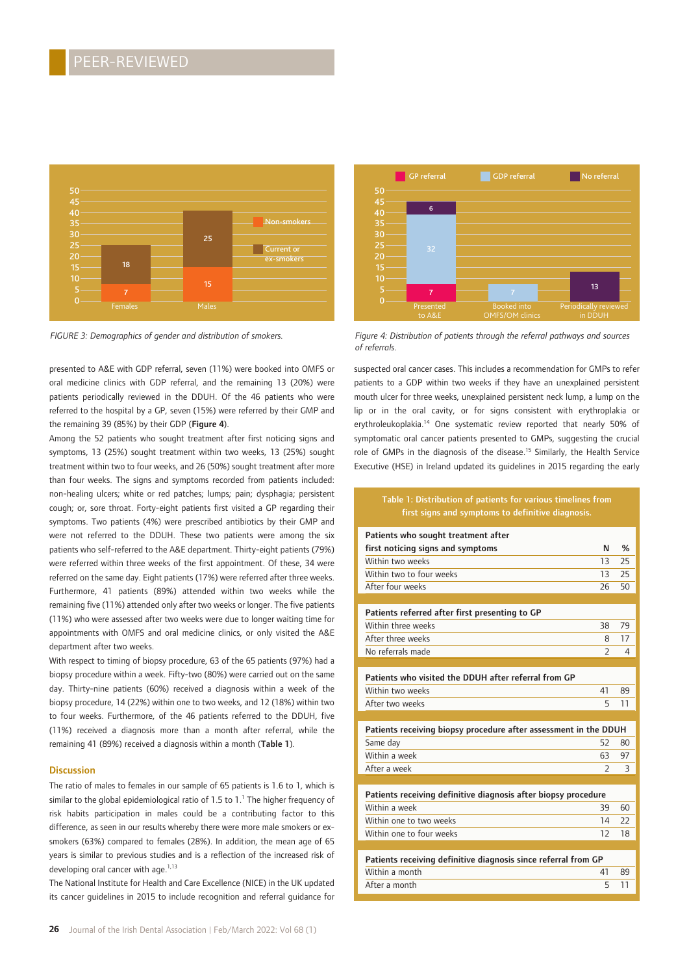

presented to A&E with GDP referral, seven (11%) were booked into OMFS or oral medicine clinics with GDP referral, and the remaining 13 (20%) were patients periodically reviewed in the DDUH. Of the 46 patients who were referred to the hospital by a GP, seven (15%) were referred by their GMP and the remaining 39 (85%) by their GDP (Figure 4).

Among the 52 patients who sought treatment after first noticing signs and symptoms, 13 (25%) sought treatment within two weeks, 13 (25%) sought treatment within two to four weeks, and 26 (50%) sought treatment after more than four weeks. The signs and symptoms recorded from patients included: non-healing ulcers; white or red patches; lumps; pain; dysphagia; persistent cough; or, sore throat. Forty-eight patients first visited a GP regarding their symptoms. Two patients (4%) were prescribed antibiotics by their GMP and were not referred to the DDUH. These two patients were among the six patients who self-referred to the A&E department. Thirty-eight patients (79%) were referred within three weeks of the first appointment. Of these, 34 were referred on the same day. Eight patients (17%) were referred after three weeks. Furthermore, 41 patients (89%) attended within two weeks while the remaining five (11%) attended only after two weeks or longer. The five patients (11%) who were assessed after two weeks were due to longer waiting time for appointments with OMFS and oral medicine clinics, or only visited the A&E department after two weeks.

With respect to timing of biopsy procedure, 63 of the 65 patients (97%) had a biopsy procedure within a week. Fifty-two (80%) were carried out on the same day. Thirty-nine patients (60%) received a diagnosis within a week of the biopsy procedure, 14 (22%) within one to two weeks, and 12 (18%) within two to four weeks. Furthermore, of the 46 patients referred to the DDUH, five (11%) received a diagnosis more than a month after referral, while the remaining 41 (89%) received a diagnosis within a month (Table 1).

#### **Discussion**

The ratio of males to females in our sample of 65 patients is 1.6 to 1, which is similar to the global epidemiological ratio of 1.5 to 1. $^{\rm 1}$  The higher frequency of risk habits participation in males could be a contributing factor to this difference, as seen in our results whereby there were more male smokers or exsmokers (63%) compared to females (28%). In addition, the mean age of 65 years is similar to previous studies and is a reflection of the increased risk of developing oral cancer with age.<sup>1,13</sup>

The National Institute for Health and Care Excellence (NICE) in the UK updated its cancer guidelines in 2015 to include recognition and referral guidance for



*FIGURE 3: Demographics of gender and distribution of smokers. Figure 4: Distribution of patients through the referral pathways and sources of referrals.*

suspected oral cancer cases. This includes a recommendation for GMPs to refer patients to a GDP within two weeks if they have an unexplained persistent mouth ulcer for three weeks, unexplained persistent neck lump, a lump on the lip or in the oral cavity, or for signs consistent with erythroplakia or erythroleukoplakia.<sup>14</sup> One systematic review reported that nearly 50% of symptomatic oral cancer patients presented to GMPs, suggesting the crucial role of GMPs in the diagnosis of the disease.<sup>15</sup> Similarly, the Health Service Executive (HSE) in Ireland updated its guidelines in 2015 regarding the early

#### Table 1: Distribution of patients for various timelines from first signs and symptoms to definitive diagnosis.

| Patients who sought treatment after                              |                          |               |
|------------------------------------------------------------------|--------------------------|---------------|
| first noticing signs and symptoms                                | N                        | $\frac{9}{6}$ |
| Within two weeks                                                 | 13                       | 25            |
| Within two to four weeks                                         | 13                       | 25            |
| After four weeks                                                 | 26                       | 50            |
|                                                                  |                          |               |
| Patients referred after first presenting to GP                   |                          |               |
| Within three weeks                                               | 38                       | 79            |
| After three weeks                                                | 8                        | 17            |
| No referrals made                                                | $\overline{2}$           | 4             |
|                                                                  |                          |               |
| Patients who visited the DDUH after referral from GP             |                          |               |
| Within two weeks                                                 | 41                       | 89            |
| After two weeks                                                  | 5                        | 11            |
|                                                                  |                          |               |
|                                                                  |                          |               |
| Patients receiving biopsy procedure after assessment in the DDUH |                          |               |
| Same day                                                         | 52                       | 80            |
| Within a week                                                    | 63                       | 97            |
| After a week                                                     | $\overline{\phantom{a}}$ | 3             |
|                                                                  |                          |               |
| Patients receiving definitive diagnosis after biopsy procedure   |                          |               |
| Within a week                                                    | 39                       | 60            |
| Within one to two weeks                                          | 14                       | 22            |
| Within one to four weeks                                         | 12                       | 18            |
|                                                                  |                          |               |
| Patients receiving definitive diagnosis since referral from GP   |                          |               |
| Within a month                                                   | 41                       | 89            |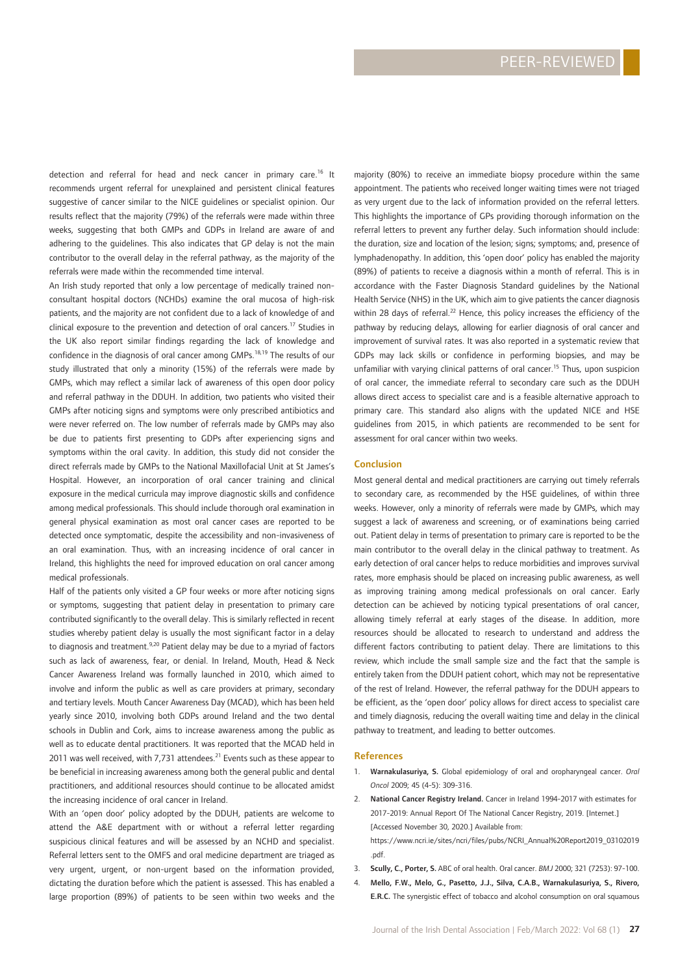detection and referral for head and neck cancer in primary care.16 It recommends urgent referral for unexplained and persistent clinical features suggestive of cancer similar to the NICE guidelines or specialist opinion. Our results reflect that the majority (79%) of the referrals were made within three weeks, suggesting that both GMPs and GDPs in Ireland are aware of and adhering to the guidelines. This also indicates that GP delay is not the main contributor to the overall delay in the referral pathway, as the majority of the referrals were made within the recommended time interval.

An Irish study reported that only a low percentage of medically trained nonconsultant hospital doctors (NCHDs) examine the oral mucosa of high-risk patients, and the majority are not confident due to a lack of knowledge of and clinical exposure to the prevention and detection of oral cancers.17 Studies in the UK also report similar findings regarding the lack of knowledge and confidence in the diagnosis of oral cancer among GMPs.<sup>18,19</sup> The results of our study illustrated that only a minority (15%) of the referrals were made by GMPs, which may reflect a similar lack of awareness of this open door policy and referral pathway in the DDUH. In addition, two patients who visited their GMPs after noticing signs and symptoms were only prescribed antibiotics and were never referred on. The low number of referrals made by GMPs may also be due to patients first presenting to GDPs after experiencing signs and symptoms within the oral cavity. In addition, this study did not consider the direct referrals made by GMPs to the National Maxillofacial Unit at St James's Hospital. However, an incorporation of oral cancer training and clinical exposure in the medical curricula may improve diagnostic skills and confidence among medical professionals. This should include thorough oral examination in general physical examination as most oral cancer cases are reported to be detected once symptomatic, despite the accessibility and non-invasiveness of an oral examination. Thus, with an increasing incidence of oral cancer in Ireland, this highlights the need for improved education on oral cancer among medical professionals.

Half of the patients only visited a GP four weeks or more after noticing signs or symptoms, suggesting that patient delay in presentation to primary care contributed significantly to the overall delay. This is similarly reflected in recent studies whereby patient delay is usually the most significant factor in a delay to diagnosis and treatment.<sup>9,20</sup> Patient delay may be due to a myriad of factors such as lack of awareness, fear, or denial. In Ireland, Mouth, Head & Neck Cancer Awareness Ireland was formally launched in 2010, which aimed to involve and inform the public as well as care providers at primary, secondary and tertiary levels. Mouth Cancer Awareness Day (MCAD), which has been held yearly since 2010, involving both GDPs around Ireland and the two dental schools in Dublin and Cork, aims to increase awareness among the public as well as to educate dental practitioners. It was reported that the MCAD held in 2011 was well received, with 7,731 attendees.<sup>21</sup> Events such as these appear to be beneficial in increasing awareness among both the general public and dental practitioners, and additional resources should continue to be allocated amidst the increasing incidence of oral cancer in Ireland.

With an 'open door' policy adopted by the DDUH, patients are welcome to attend the A&E department with or without a referral letter regarding suspicious clinical features and will be assessed by an NCHD and specialist. Referral letters sent to the OMFS and oral medicine department are triaged as very urgent, urgent, or non-urgent based on the information provided, dictating the duration before which the patient is assessed. This has enabled a large proportion (89%) of patients to be seen within two weeks and the

majority (80%) to receive an immediate biopsy procedure within the same appointment. The patients who received longer waiting times were not triaged as very urgent due to the lack of information provided on the referral letters. This highlights the importance of GPs providing thorough information on the referral letters to prevent any further delay. Such information should include: the duration, size and location of the lesion; signs; symptoms; and, presence of lymphadenopathy. In addition, this 'open door' policy has enabled the majority (89%) of patients to receive a diagnosis within a month of referral. This is in accordance with the Faster Diagnosis Standard guidelines by the National Health Service (NHS) in the UK, which aim to give patients the cancer diagnosis within 28 days of referral.<sup>22</sup> Hence, this policy increases the efficiency of the pathway by reducing delays, allowing for earlier diagnosis of oral cancer and improvement of survival rates. It was also reported in a systematic review that GDPs may lack skills or confidence in performing biopsies, and may be unfamiliar with varying clinical patterns of oral cancer.<sup>15</sup> Thus, upon suspicion of oral cancer, the immediate referral to secondary care such as the DDUH allows direct access to specialist care and is a feasible alternative approach to primary care. This standard also aligns with the updated NICE and HSE guidelines from 2015, in which patients are recommended to be sent for assessment for oral cancer within two weeks.

#### Conclusion

Most general dental and medical practitioners are carrying out timely referrals to secondary care, as recommended by the HSE guidelines, of within three weeks. However, only a minority of referrals were made by GMPs, which may suggest a lack of awareness and screening, or of examinations being carried out. Patient delay in terms of presentation to primary care is reported to be the main contributor to the overall delay in the clinical pathway to treatment. As early detection of oral cancer helps to reduce morbidities and improves survival rates, more emphasis should be placed on increasing public awareness, as well as improving training among medical professionals on oral cancer. Early detection can be achieved by noticing typical presentations of oral cancer, allowing timely referral at early stages of the disease. In addition, more resources should be allocated to research to understand and address the different factors contributing to patient delay. There are limitations to this review, which include the small sample size and the fact that the sample is entirely taken from the DDUH patient cohort, which may not be representative of the rest of Ireland. However, the referral pathway for the DDUH appears to be efficient, as the 'open door' policy allows for direct access to specialist care and timely diagnosis, reducing the overall waiting time and delay in the clinical pathway to treatment, and leading to better outcomes.

#### References

- 1. Warnakulasuriya, S. Global epidemiology of oral and oropharyngeal cancer. *Oral Oncol* 2009; 45 (4-5): 309-316.
- 2. National Cancer Registry Ireland. Cancer in Ireland 1994-2017 with estimates for 2017-2019: Annual Report Of The National Cancer Registry, 2019. [Internet.] [Accessed November 30, 2020.] Available from: https://www.ncri.ie/sites/ncri/files/pubs/NCRI\_Annual%20Report2019\_03102019 .pdf.
- 3. Scully, C., Porter, S. ABC of oral health. Oral cancer. *BMJ* 2000; 321 (7253): 97-100.
- 4. Mello, F.W., Melo, G., Pasetto, J.J., Silva, C.A.B., Warnakulasuriya, S., Rivero, E.R.C. The synergistic effect of tobacco and alcohol consumption on oral squamous